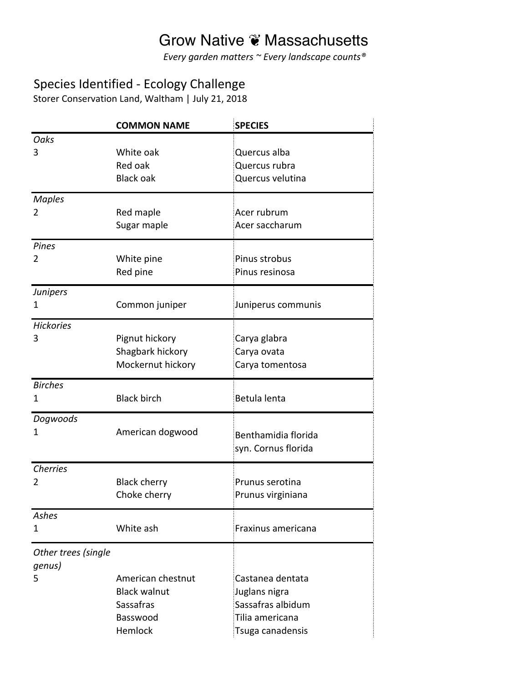Every garden matters ~ Every landscape counts<sup>®</sup>

#### Species Identified - Ecology Challenge

Storer Conservation Land, Waltham | July 21, 2018

|                                    | <b>COMMON NAME</b>                                                           | <b>SPECIES</b>                                                                                |
|------------------------------------|------------------------------------------------------------------------------|-----------------------------------------------------------------------------------------------|
| <b>Oaks</b><br>3                   | White oak<br>Red oak<br><b>Black oak</b>                                     | Quercus alba<br>Quercus rubra<br>Quercus velutina                                             |
| <b>Maples</b><br>2                 | Red maple<br>Sugar maple                                                     | Acer rubrum<br>Acer saccharum                                                                 |
| Pines<br>2                         | White pine<br>Red pine                                                       | Pinus strobus<br>Pinus resinosa                                                               |
| <b>Junipers</b><br>1               | Common juniper                                                               | Juniperus communis                                                                            |
| <b>Hickories</b><br>3              | Pignut hickory<br>Shagbark hickory<br>Mockernut hickory                      | Carya glabra<br>Carya ovata<br>Carya tomentosa                                                |
| <b>Birches</b><br>1                | <b>Black birch</b>                                                           | Betula lenta                                                                                  |
| Dogwoods<br>1                      | American dogwood                                                             | Benthamidia florida<br>syn. Cornus florida                                                    |
| <b>Cherries</b><br>2               | <b>Black cherry</b><br>Choke cherry                                          | Prunus serotina<br>Prunus virginiana                                                          |
| Ashes<br>1                         | White ash                                                                    | Fraxinus americana                                                                            |
| Other trees (single<br>genus)<br>5 | American chestnut<br><b>Black walnut</b><br>Sassafras<br>Basswood<br>Hemlock | Castanea dentata<br>Juglans nigra<br>Sassafras albidum<br>Tilia americana<br>Tsuga canadensis |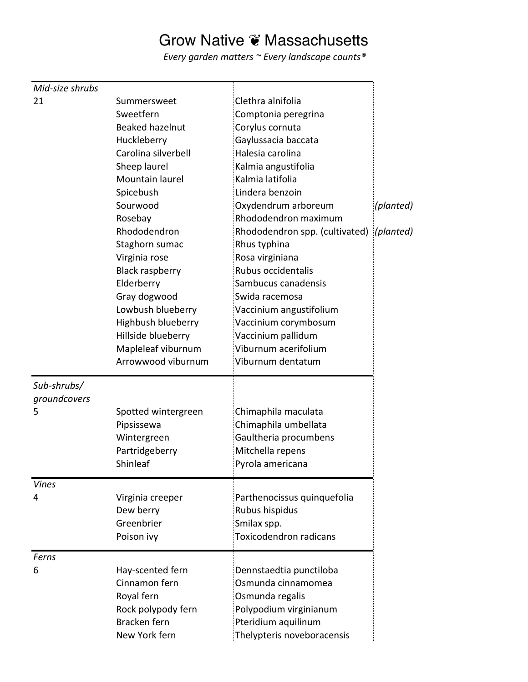| Mid-size shrubs |                        |                                |           |
|-----------------|------------------------|--------------------------------|-----------|
| 21              | Summersweet            | Clethra alnifolia              |           |
|                 | Sweetfern              | Comptonia peregrina            |           |
|                 | Beaked hazelnut        | Corylus cornuta                |           |
|                 | Huckleberry            | Gaylussacia baccata            |           |
|                 | Carolina silverbell    | Halesia carolina               |           |
|                 | Sheep laurel           | Kalmia angustifolia            |           |
|                 | Mountain laurel        | Kalmia latifolia               |           |
|                 | Spicebush              | Lindera benzoin                |           |
|                 | Sourwood               | Oxydendrum arboreum            | (planted) |
|                 | Rosebay                | Rhododendron maximum           |           |
|                 | Rhododendron           | Rhododendron spp. (cultivated) | (planted) |
|                 | Staghorn sumac         | Rhus typhina                   |           |
|                 | Virginia rose          | Rosa virginiana                |           |
|                 | <b>Black raspberry</b> | Rubus occidentalis             |           |
|                 | Elderberry             | Sambucus canadensis            |           |
|                 | Gray dogwood           | Swida racemosa                 |           |
|                 | Lowbush blueberry      | Vaccinium angustifolium        |           |
|                 | Highbush blueberry     | Vaccinium corymbosum           |           |
|                 | Hillside blueberry     | Vaccinium pallidum             |           |
|                 | Mapleleaf viburnum     | Viburnum acerifolium           |           |
|                 | Arrowwood viburnum     | Viburnum dentatum              |           |
|                 |                        |                                |           |
| Sub-shrubs/     |                        |                                |           |
| groundcovers    |                        |                                |           |
| 5               | Spotted wintergreen    | Chimaphila maculata            |           |
|                 | Pipsissewa             | Chimaphila umbellata           |           |
|                 | Wintergreen            | Gaultheria procumbens          |           |
|                 | Partridgeberry         | Mitchella repens               |           |
|                 | Shinleaf               | Pyrola americana               |           |
|                 |                        |                                |           |
| <b>Vines</b>    |                        |                                |           |
| 4               | Virginia creeper       | Parthenocissus quinquefolia    |           |
|                 | Dew berry              | Rubus hispidus                 |           |
|                 | Greenbrier             | Smilax spp.                    |           |
|                 | Poison ivy             | <b>Toxicodendron radicans</b>  |           |
| Ferns           |                        |                                |           |
| 6               | Hay-scented fern       | Dennstaedtia punctiloba        |           |
|                 | Cinnamon fern          | Osmunda cinnamomea             |           |
|                 | Royal fern             | Osmunda regalis                |           |
|                 | Rock polypody fern     | Polypodium virginianum         |           |
|                 | Bracken fern           | Pteridium aquilinum            |           |
|                 | New York fern          | Thelypteris noveboracensis     |           |
|                 |                        |                                |           |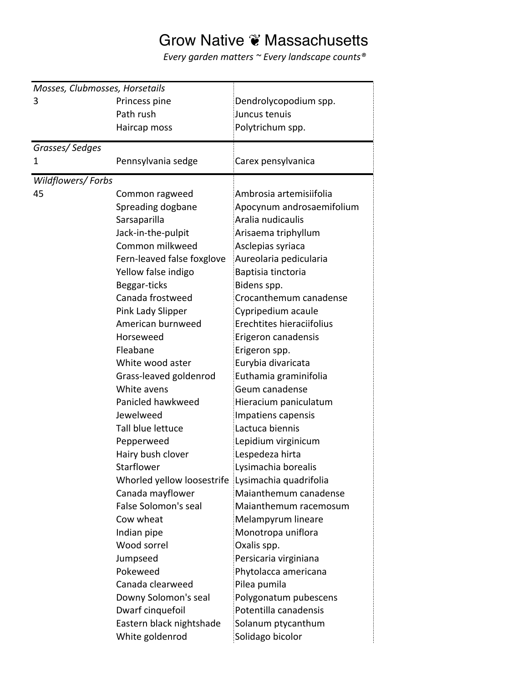| Mosses, Clubmosses, Horsetails |                             |                           |  |  |
|--------------------------------|-----------------------------|---------------------------|--|--|
| 3                              | Princess pine               | Dendrolycopodium spp.     |  |  |
|                                | Path rush                   | Juncus tenuis             |  |  |
|                                | Haircap moss                | Polytrichum spp.          |  |  |
| Grasses/Sedges                 |                             |                           |  |  |
| 1                              | Pennsylvania sedge          | Carex pensylvanica        |  |  |
| Wildflowers/Forbs              |                             |                           |  |  |
| 45                             | Common ragweed              | Ambrosia artemisiifolia   |  |  |
|                                | Spreading dogbane           | Apocynum androsaemifolium |  |  |
|                                | Sarsaparilla                | Aralia nudicaulis         |  |  |
|                                | Jack-in-the-pulpit          | Arisaema triphyllum       |  |  |
|                                | Common milkweed             | Asclepias syriaca         |  |  |
|                                | Fern-leaved false foxglove  | Aureolaria pedicularia    |  |  |
|                                | Yellow false indigo         | Baptisia tinctoria        |  |  |
|                                | Beggar-ticks                | Bidens spp.               |  |  |
|                                | Canada frostweed            | Crocanthemum canadense    |  |  |
|                                | Pink Lady Slipper           | Cypripedium acaule        |  |  |
|                                | American burnweed           | Erechtites hieraciifolius |  |  |
|                                | Horseweed                   | Erigeron canadensis       |  |  |
|                                | Fleabane                    | Erigeron spp.             |  |  |
|                                | White wood aster            | Eurybia divaricata        |  |  |
|                                | Grass-leaved goldenrod      | Euthamia graminifolia     |  |  |
|                                | White avens                 | Geum canadense            |  |  |
|                                | Panicled hawkweed           | Hieracium paniculatum     |  |  |
|                                | Jewelweed                   | Impatiens capensis        |  |  |
|                                | Tall blue lettuce           | Lactuca biennis           |  |  |
|                                | Pepperweed                  | Lepidium virginicum       |  |  |
|                                | Hairy bush clover           | Lespedeza hirta           |  |  |
|                                | <b>Starflower</b>           | Lysimachia borealis       |  |  |
|                                | Whorled yellow loosestrife  | Lysimachia quadrifolia    |  |  |
|                                | Canada mayflower            | Maianthemum canadense     |  |  |
|                                | <b>False Solomon's seal</b> | Maianthemum racemosum     |  |  |
|                                | Cow wheat                   | Melampyrum lineare        |  |  |
|                                | Indian pipe                 | Monotropa uniflora        |  |  |
|                                | Wood sorrel                 | Oxalis spp.               |  |  |
|                                | Jumpseed                    | Persicaria virginiana     |  |  |
|                                | Pokeweed                    | Phytolacca americana      |  |  |
|                                | Canada clearweed            | Pilea pumila              |  |  |
|                                | Downy Solomon's seal        | Polygonatum pubescens     |  |  |
|                                | Dwarf cinquefoil            | Potentilla canadensis     |  |  |
|                                | Eastern black nightshade    | Solanum ptycanthum        |  |  |
|                                | White goldenrod             | Solidago bicolor          |  |  |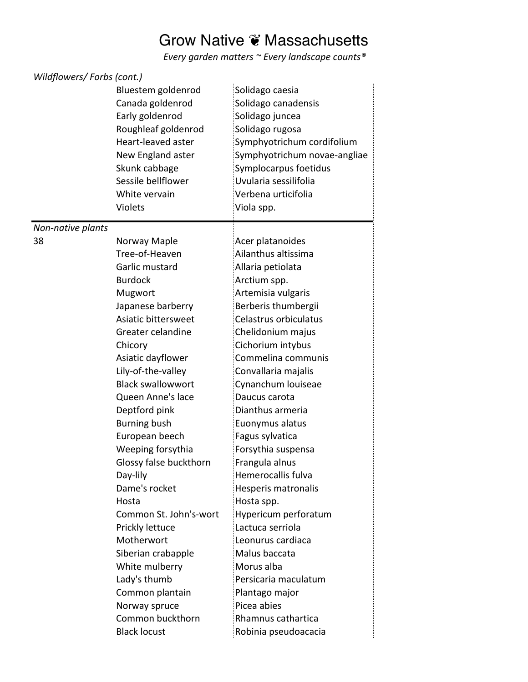| Wildflowers/Forbs (cont.) |                                                                                                                                                                                                       |                                                                                                                                                                                                                                   |  |  |
|---------------------------|-------------------------------------------------------------------------------------------------------------------------------------------------------------------------------------------------------|-----------------------------------------------------------------------------------------------------------------------------------------------------------------------------------------------------------------------------------|--|--|
|                           | Bluestem goldenrod<br>Canada goldenrod<br>Early goldenrod<br>Roughleaf goldenrod<br>Heart-leaved aster<br>New England aster<br>Skunk cabbage<br>Sessile bellflower<br>White vervain<br><b>Violets</b> | Solidago caesia<br>Solidago canadensis<br>Solidago juncea<br>Solidago rugosa<br>Symphyotrichum cordifolium<br>Symphyotrichum novae-angliae<br>Symplocarpus foetidus<br>Uvularia sessilifolia<br>Verbena urticifolia<br>Viola spp. |  |  |
| Non-native plants         |                                                                                                                                                                                                       |                                                                                                                                                                                                                                   |  |  |
| 38                        | Norway Maple<br>Tree-of-Heaven<br>Garlic mustard<br><b>Burdock</b>                                                                                                                                    | Acer platanoides<br>Ailanthus altissima<br>Allaria petiolata<br>Arctium spp.                                                                                                                                                      |  |  |
|                           | Mugwort                                                                                                                                                                                               | Artemisia vulgaris                                                                                                                                                                                                                |  |  |
|                           | Japanese barberry                                                                                                                                                                                     | Berberis thumbergii                                                                                                                                                                                                               |  |  |
|                           | Asiatic bittersweet                                                                                                                                                                                   | Celastrus orbiculatus                                                                                                                                                                                                             |  |  |
|                           | Greater celandine                                                                                                                                                                                     | Chelidonium majus                                                                                                                                                                                                                 |  |  |
|                           | Chicory                                                                                                                                                                                               | Cichorium intybus                                                                                                                                                                                                                 |  |  |
|                           | Asiatic dayflower                                                                                                                                                                                     | Commelina communis                                                                                                                                                                                                                |  |  |
|                           | Lily-of-the-valley                                                                                                                                                                                    | Convallaria majalis                                                                                                                                                                                                               |  |  |
|                           | <b>Black swallowwort</b>                                                                                                                                                                              | Cynanchum louiseae                                                                                                                                                                                                                |  |  |
|                           | Queen Anne's lace                                                                                                                                                                                     | Daucus carota                                                                                                                                                                                                                     |  |  |
|                           | Deptford pink                                                                                                                                                                                         | Dianthus armeria                                                                                                                                                                                                                  |  |  |
|                           | <b>Burning bush</b>                                                                                                                                                                                   | Euonymus alatus                                                                                                                                                                                                                   |  |  |
|                           | European beech                                                                                                                                                                                        | Fagus sylvatica                                                                                                                                                                                                                   |  |  |
|                           | Weeping forsythia                                                                                                                                                                                     | Forsythia suspensa                                                                                                                                                                                                                |  |  |
|                           | Glossy false buckthorn                                                                                                                                                                                | Frangula alnus                                                                                                                                                                                                                    |  |  |
|                           | Day-lily                                                                                                                                                                                              | Hemerocallis fulva                                                                                                                                                                                                                |  |  |
|                           | Dame's rocket                                                                                                                                                                                         | Hesperis matronalis                                                                                                                                                                                                               |  |  |
|                           | Hosta                                                                                                                                                                                                 | Hosta spp.                                                                                                                                                                                                                        |  |  |
|                           | Common St. John's-wort                                                                                                                                                                                | Hypericum perforatum                                                                                                                                                                                                              |  |  |
|                           | Prickly lettuce                                                                                                                                                                                       | Lactuca serriola                                                                                                                                                                                                                  |  |  |
|                           | Motherwort                                                                                                                                                                                            | Leonurus cardiaca                                                                                                                                                                                                                 |  |  |
|                           | Siberian crabapple                                                                                                                                                                                    | Malus baccata                                                                                                                                                                                                                     |  |  |
|                           | White mulberry                                                                                                                                                                                        | Morus alba                                                                                                                                                                                                                        |  |  |
|                           | Lady's thumb                                                                                                                                                                                          | Persicaria maculatum                                                                                                                                                                                                              |  |  |
|                           | Common plantain                                                                                                                                                                                       | Plantago major                                                                                                                                                                                                                    |  |  |
|                           | Norway spruce                                                                                                                                                                                         | Picea abies                                                                                                                                                                                                                       |  |  |
|                           | Common buckthorn                                                                                                                                                                                      | Rhamnus cathartica                                                                                                                                                                                                                |  |  |
|                           | <b>Black locust</b>                                                                                                                                                                                   | Robinia pseudoacacia                                                                                                                                                                                                              |  |  |